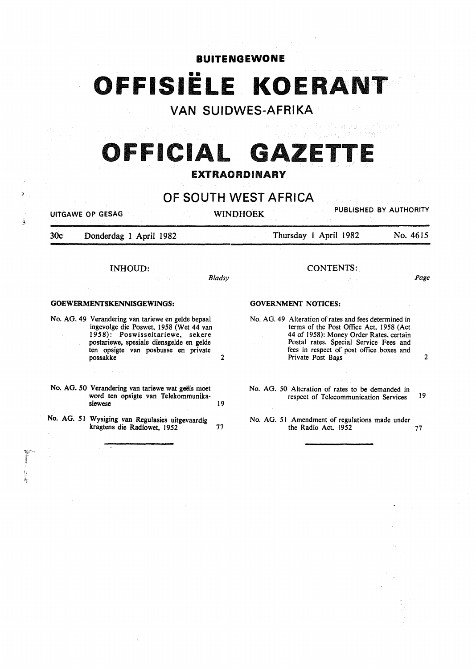### **BUITENGEWONE**

# **OFFISIELE KOERANT**

# **VAN SUIDWES-AFRIKA**

# **OFFICIAL GAZET** EXTRAORDINARY

## **OF SOUTH WEST** AFRICA

UITGAWE OP GESAG WINDHOEK PUBLISHED BY AUTHORITY 30c Donderdag 1 April 1982 Thursday 1 April 1982 No. 4615

*Bladsy* 

### INHOUD:

### GOEWERMENTSKENNISGEWINGS:

!

-3

No. AG. 49 Verandering van tariewe en gelde bepaal 1958): Poswisseltariewe, sekere postariewe, spesiale diensgelde en gelde ten opsigte van posbusse en private possakke 2

### No. AG. 50 Verandering van tariewe wat geëis moet word ten opsigte van Telekommunikasiewese 19

No. AG. *5* I Wysiging van Regulasies uitgevaardig kragtens die Radiowet, 1952 77

GOVERNMENT NOTICES:

No. AG. 49 Alteration of rates and fees determined in terms of the Post Office Act, 1958 (Act 44 of 1958): Money Order Rates, certain Postal rates. Special Service Fees and fees in respect of post office boxes and Private Post Bags 2

CONTENTS:

(対策の故にたあまるい)!

*Page* 

No. AG. *50* Alteration of rates to be demanded in respect of Telecommunication Services 19

No. AG. 51 Amendment of regulations made under the Radio Act, 1952 77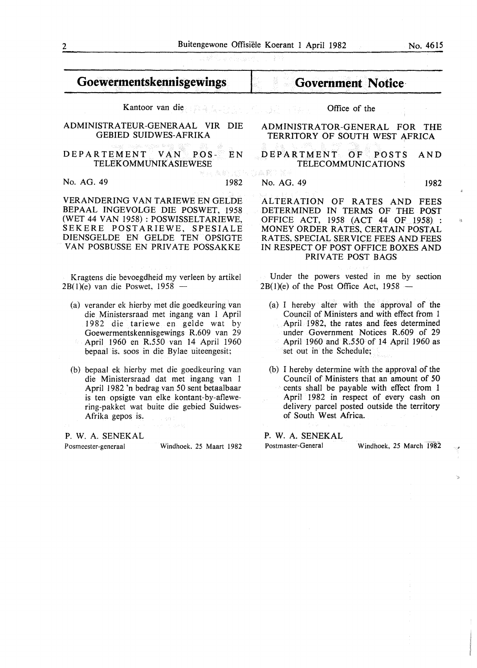# **Goewermentskennisgewings**

Kantoor van die Office of the 124.4

### ADMINISTRATEUR-GENERAAL VIR DIE GEBIED SUIDWES-AFRIKA

### DEPARTEMENT VAN POS- EN TELEKOMMUNIKASIEWESE

No. AG. 49 1982

VERANDERING VAN TARIEWE EN GELDE BEPAAL INGEVOLGE DIE POSWET, 1958 (WET 44 VAN 1958): POSWISSELTARIEWE, SEKERE POSTARIEWE, SPESIALE DIENSGELDE EN GELDE TEN OPSIGTE VAN POSBUSSE EN PRIVATE POSSAKKE

Kragtens die bevoegdheid my verleen by artikel  $2B(1)(e)$  van die Poswet, 1958 -

- (a) verander ek hierby met die goedkeuring van die Ministersraad met ingang van 1 April 1982 die tariewe en gelde wat by Goewermentskennisgewings R.609 van 29 April 1960 en R.550 van 14 April 1960 bepaal is. soos in die Bylae uiteengesit;
- (b) bepaal ek hierby met die goedkeuring van die Ministersraad dat met ingang van 1 April 1982 'n bedrag van 50 sent betaalbaar is ten opsigte van elke kontant-by-aflewering-pakket wat buite die gebied Suidwes-Afrika gepos is. -53

P. W. A. SENEKAL

Posmeester-generaal Windhoek. 25 Maart 1982

**Government Notice·** 

### ADMINISTRATOR-GENERAL FOR THE TERRITORY OF SOUTH WEST AFRICA

DEPARTMENT OF POSTS AND TELECOMMUNICATIONS

### No. AG. 49 1982

ALTERATION OF RATES AND FEES DETERMINED IN TERMS OF THE POST OFFICE ACT, 1958 (ACT 44 OF 1958) : MONEY ORDER RATES, CERTAIN POSTAL RATES, SPECIAL SERVICE FEES AND FEES IN RESPECT OF POST OFFICE BOXES AND PRIVATE POST BAGS

Under the powers vested in me by section  $2B(1)(e)$  of the Post Office Act, 1958 -

- (a) I hereby alter with the approval of the Council of Ministers and with effect from 1 April 1982, the rates and fees determined under Government Notices R.609 of 29 April 1960 and R.550 of 14 April 1960 as set out in the Schedule;
- (b) I hereby determine with the approval of the Council of Ministers that an amount of 50 cents shall be payable with effect from 1 April 1982 in respect of every cash on delivery parcel posted outside the territory of South West Africa.

P. W. A. SENEKAL Postmaster-General Windhoek, 25 March 1982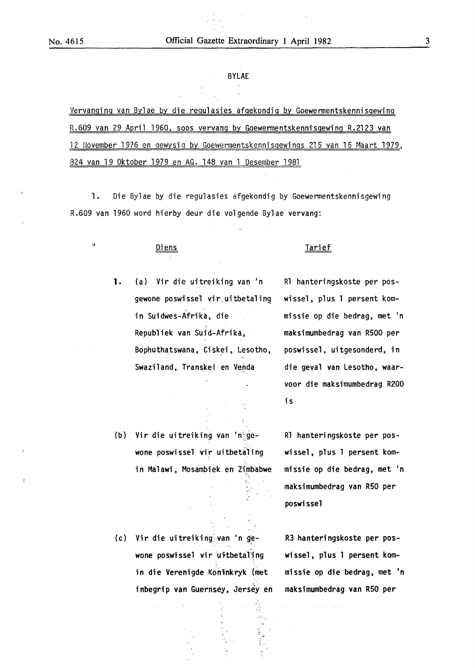### BYLAE

Vervanging van Bylae by die regulasies afgekondig by Goewermentskennisgewing R.609 van 29 April 1960, soos vervang by Goewermentskennisgewing R.2123 van 12 November 1976 en gewysig by Goewermentskennisgewings 215 van 16 Maart 1979, 824 van 19 Oktober 1979 en AG. 148 van 1 Oesember 1981

1. Die By1ae by die regulasies afgekondig by Goewermentskennisgewing R.609 van 1960 word hierby deur die volgende Bylae vervang:

1. (a) Vir die uitreiking van 'n R1 hanteringskoste per posgewone poswissel vir uitbetaling wissel, plus 1 persent komin Suidwes-Afrika, die missie op die bedrag, met 'n Republiek van Suid-Afrika, maksimumbedrag van R500 per Bophuthatswana, Ciskei, Lesotho, poswissel, uitgesonderd, in Swaziland, Transkei en Venda die geval van Lesotho, waar-

### II Diens Tarief

voor die maksimumbedrag R200 is

(b) Vir die uitreiking van 'n~ge- R1 hanteringskoste per poswone poswissel vir uitbetaling wissel, plus 1 persent komin Malawi, Mosambiek en Zimbabwe missie op die bedrag, met 'n

maksimumbedrag van R50 per poswissel

(c) Vir die uitreiking van 'n gewone poswissel vir uitbetaling vissel, plus 1 persent komin die Verenigde Koninkryk (met missie op die bedrag, met 'n inbegrip van Guernsey, Jersey en maksimumbedrag van R50 per

<sup>~</sup>-·

R3 hanteringskoste per pos-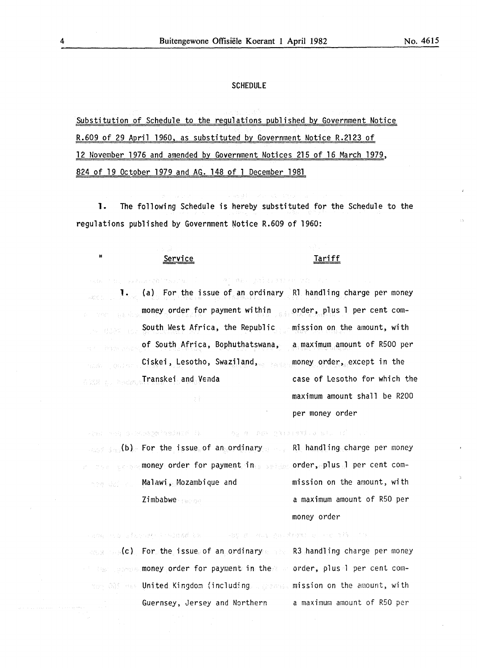### **SCHEDULE**

Substitution of Schedule to the regulations published by Government Notice R.609 of 29 April 1960, as substituted by Government Notice R.2123 of 12 llovember 1976 and amended by Government Notices 215 of 16 March 1979, 824 of 19 October 1979 and AG. 148 of 1 December 1981

1. The following Schedule is hereby substituted for the Schedule to the regulations published by Government Notice R.609 of 1960:

### "Service Tariff

per money order

al des comidadas en ca 1. (a) For the issue of an ordinary R1 handling charge per money money order for payment within order, plus 1 per cent com-South West Africa, the Republic mission on the amount, with of South Africa, Bophuthatswana, a maximum amount of RSOO per Ciskei, Lesotho, Swaziland, money order, except in the Transkei and Venda case of Lesotho for which the maximum amount shall be R200

(b) For the issue of an ordinary R1 handling charge per money money order for payment in service order, plus 1 per cent com-**Malawi, Mozambique and** Zimbabwe

-r F

mission on the amount, with a maximum amount of RSO per money order

人名班格 计分布 医中央性脑膜炎 医外侧支膜 医第二十一 人名英格兰人姓氏克雷特的变体 医心包 医骨髓 人名伊尔 (c) For the issue of an ordinary and R3 handling charge per money money order for payment in the a order, plus 1 per cent com-United Kingdom (including  $\mathbb{L}_{\mathbb{C}}$  are mission on the amount, with Guernsey, Jersey and Northern a maximum amount of R50 per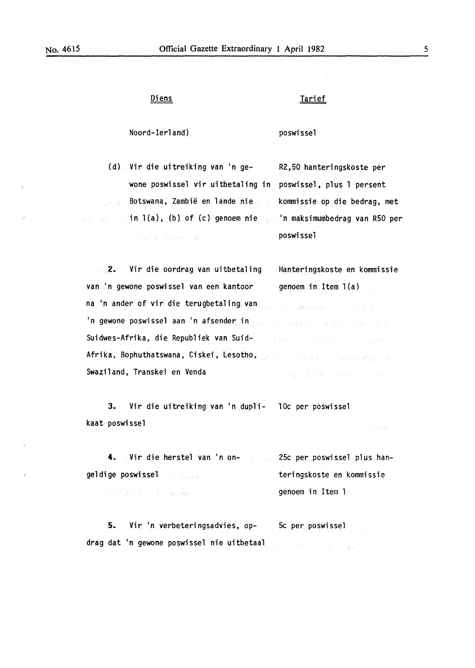TENGTHE POPULAR THAN

### Diens Tarief

poswissel

Noord-Ierland) poswissel

(d) Vir die uitreiking van 'n ge- R2,50 hanteringskoste per wone poswissel vir uitbetaling in poswissel, plus 1 persent Botswana, Zambië en lande nie in l(a), (b) of (c) genoem nie 'n maksimumbedrag van R50 per kommissie op die bedrag, met

2. Vir die oordrag van uitbetaling Hanteringskoste en kommissie van 'n gewone poswissel van een kantoor genoem in Item l(a) na 'n ander of vir die terugbetaling van de Sommengege na de Season 'n gewone poswissel aan 'n afsender in provinciale word is entertained and the Suidwes-Afrika, die Republiek van Suid-States in this way to see 1000 mile Afrika, Bophuthatswana, Ciskei, Lesotho, presentante la paradisation Swaziland, Transkei en Venda THE INSTRUMENT OF THE

3. Vir die uitreiking van 'n dupli- lOc per poswissel kaat poswissel and the state

4. Vir die herstel van 'n on- 1998 (250 per poswissel plus hangeldige poswissel teringskoste en kommissie The got that the change more genoem in Item 1

5. Vir 'n verbeteringsadvies, op- 5c per poswissel drag dat 'n gewone poswissel nie uitbetaal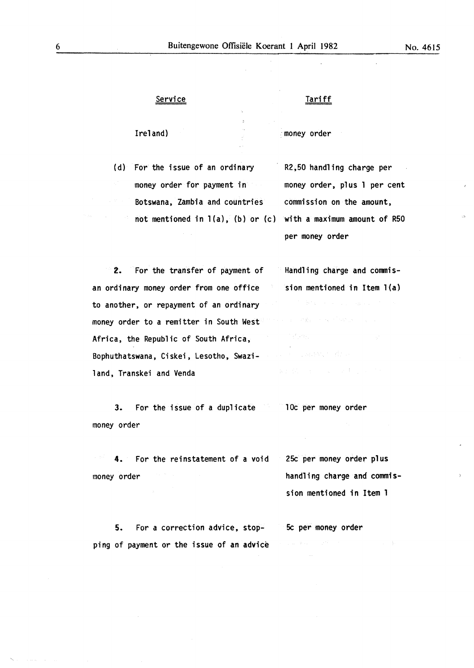**Service** 

### Tariff

Ireland)

·money order

(d) For the issue of an ordinary money order for payment in Botswana, Zambia and countries commission on the amount, not mentioned in l(a), (b) or (c) with a maximum amount of R50

R2,50 handling charge per money order, plus 1 per cent per money order

Handling charge and commis-

sion mentioned in Item l(a)

 $\label{eq:2.1} \gamma_1 = \mathcal{D}(\underline{Y}_1) = \mathcal{D}(\mathbf{y}_1) + \mathcal{D}(\mathbf{y}_2)$ 

4. 经收入的 (2) (2) (2) (2)

 $\gamma_5 \epsilon_{\rm{10}} \sigma_{\rm{Fe}}$ 

sion mentioned in Item 1

2. For the transfer of payment of an ordinary money order from one office to another, or repayment of an ordinary money order to a remitter in South West Africa, the Republic of South Africa, Bophuthatswana, Ciskei, Lesotho, Swaziland, Transkei and Venda

3. For the issue of a duplicate money order lOc per money order

4. For the reinstatement of a void money order 25c per money order plus handling charge and commis-

5. For a correction advice, stopping of payment or the issue of an advice 5c per money order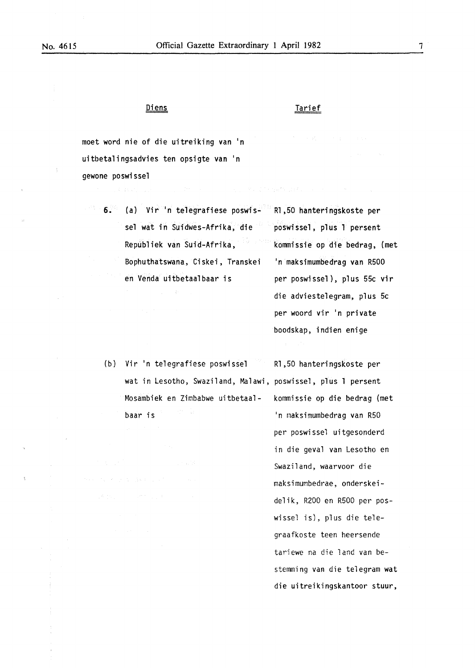# <u>Diens</u>

### Tarief

moet word nie of die uitreiking van 'n uitbetalingsadvies ten opsigte van 'n gewone poswissel

- 6. (a) Vir 'n telegrafiese poswis- R1,50 hanteringskoste per sel wat in Suidwes-Afrika, die poswissel, plus l persent Republiek van Suid-Afrika, kommissie op die bedrag, (met Bophuthatswana, Ciskei, Transkei 'n maksimumbedrag van R500 en Venda uitbetaalbaar is per poswissel ), plus 55c vir
	- die adviestelegram, plus 5c per woord vir 'n private boodskap, indien enige
	- {b) Vir 'n telegrafiese poswissel R1,50 hanteringskoste per wat in lesotho, Swaziland, Malawi, poswissel, plus 1 persent Mosambiek en Zimbabwe uitbetaal- kommissie op die bedrag (met baar is 'n rnaksimumbedrag van R50

per poswissel uitgesonderd in die geva1 van Lesotho en Swaziland, waarvoor die maksimumbedrae, onderskeidelik, R200 en R500 per poswissel is), plus die telegraafkoste teen heersende tariewe na die land van bestemming van die telegram wat die uitreikingskantoor stuur,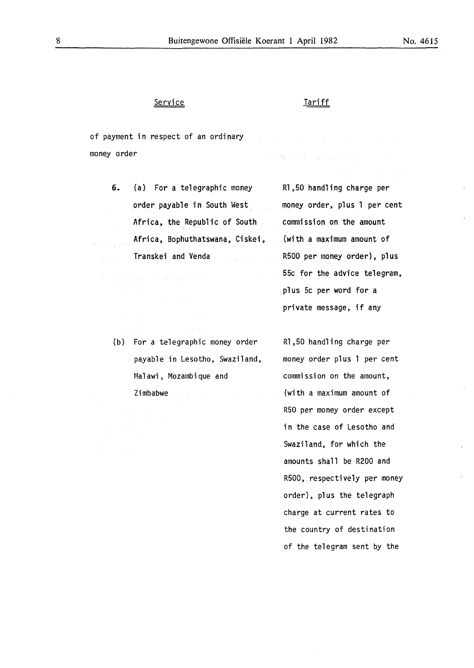### Service

### **Tariff**

of payment in respect of an ordinary  $\mathcal{A}^{\mathcal{A}}(\mathcal{C})=\mathcal{B}^{\mathcal{A}}(\mathcal{C})=\mathcal{B}^{\mathcal{A}}(\mathcal{C})=\mathcal{B}^{\mathcal{A}}(\mathcal{C})=\mathcal{B}^{\mathcal{A}}(\mathcal{C})=\mathcal{B}^{\mathcal{A}}(\mathcal{C})=\mathcal{B}^{\mathcal{A}}(\mathcal{C})=\mathcal{B}^{\mathcal{A}}(\mathcal{C})$ money order アンバル の数でである ゆうあい 待ちのわし いっせ

6. (a) For a telegraphic money order payable in South West Africa, the Republic of South Africa, Bophuthatswana, Ciskei, de columni Transkei and Venda

> (b) For a telegraphic money order payable in Lesotho, Swaziland, Malawi, Mozambique and Zimbabwe

Rl,50 handling charge per money order, plus 1 per cent commission on the amount {with a maximum amount of R500 per money order), plus 55c for the advice telegram, plus 5c per word for a private message, if any

Rl,50 handling charge per money order plus 1 per cent commission on the amount, (with a maximum amount of R50 per money order except in the case of Lesotho and Swaziland, for which the amounts shall be R200 and R500, respectively per money order), plus the telegraph charge at current rates to the country of destination of the telegram sent by the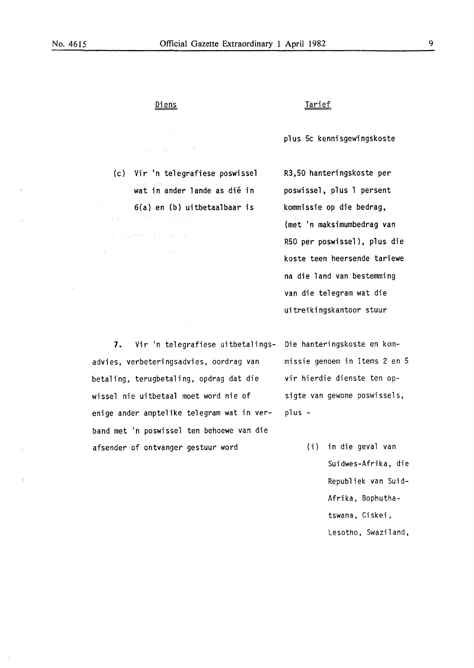## Diens

The Company of the Company  $\langle \langle \hat{a}_1 \rangle \rangle = \hat{a}_1 \langle \langle \langle \rangle \rangle_{\rm{max}} \rangle^{-3}$  .

(c) Vir 'n telegrafiese poswissel wat in ander lande as dié in 6(a) en (b) uitbetaalbaar is Jacques and Committee

 $\mathbb{E}[\mathcal{E}_k] = \mathbb{E}_{\mathcal{E}_k \sim \mathcal{E}} \mathbb{E}[\mathcal{E}^{(k+1)}] = \mathbb{E}_{\mathcal{E}_k}^{\mathcal{E}} \mathbb{E}_{\mathcal{E}} \mathbb{E}_{\mathcal{E}} \mathbb{E}_{\mathcal{E}} \mathbb{E}_{\mathcal{E}} \mathbb{E}_{\mathcal{E}} \mathbb{E}_{\mathcal{E}} \mathbb{E}_{\mathcal{E}} \mathbb{E}_{\mathcal{E}} \mathbb{E}_{\mathcal{E}}$ 

### Tarief

plus 5c kennisgewingskoste

R3,50 hanteringskoste per poswissel, plus 1 persent kommissie op die bedrag, (met 'n maksimumbedrag van R50 per poswissel), plus die koste teen heersende tariewe na die land van bestemming van die telegram wat die uitreikingskantoor stuur

7. Vir 'n telegrafiese uitbetalings- Die hanteringskoste en komadvies, verbeteringsadvies, oordrag van betaling, terugbetaling, opdrag dat die wissel nie uitbetaal moet word nie of enige ander amptelike telegram wat in verband met 'n poswissel ten behoewe van die afsender of ontvanger gestuur word

missie genoem in Items 2 en 5 vir hierdie dienste ten opsigte van gewone poswissels, plus -

> (i) in die geval van Suidwes-Afrika, die Republiek van Suid-Afrika, Bophuthatswana, Ciskei, Lesotho, Swaziland,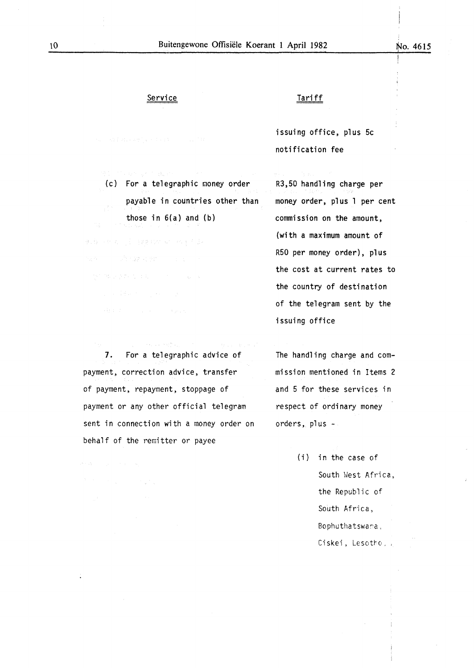### **Service**

issuing office, plus 5c notification fee

Tariff

(c) For a telegraphic money order payable in countries other than those in  $6(a)$  and  $(b)$ 

电载波电流 医自动分泌 计双子系数 Service of the American State of the Con-

*1.* For a telegraphic advice of payment, correction advice, transfer of payment, repayment, stoppage of payment or any other official telegram sent in connection with a money order on behalf of the remitter or payee

as competitiv

R3,50 handling charge per money order, plus 1 per cent commission on the amount, (with a maximum amount of R50 per money order), plus the cost at current rates to the country of destination of the telegram sent by the issuing office

The handling charge and commission mentioned in Items 2 and 5 for these services in respect of ordinary money orders, plus -

> (i} in the case of South West Africa, the Republic of South Africa, Bophuthatswana, Ciskei, Lesotho,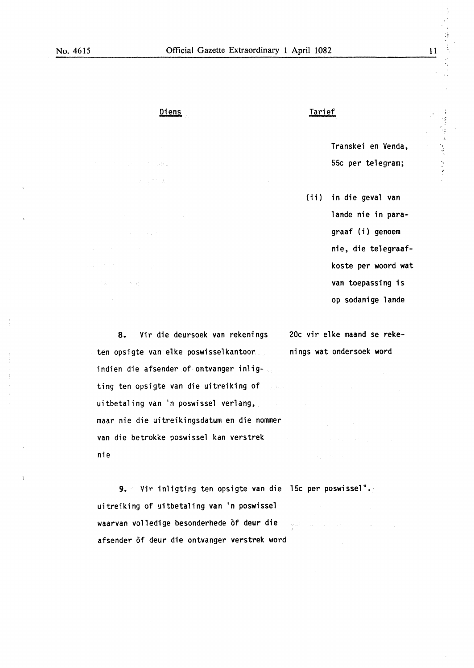$\mathcal{A}_{\mathcal{A}}$  ,  $\mathcal{A}^{\mathcal{A}}$ 

### Diens Tarief

Transkei en Venda, Transkei en Venda, andrej politik († 1938)<br>55c per telegram; in de politik († 1938)<br>1956 - Johann Stone Barnett, politik († 1938)

(ii) in die geval van lande nie in paragraaf {i) genoem nie, die telegraafkoste per woord wat van toepassing is op sodanige lande

8. Vir die deursoek van rekenings ten opsigte van elke poswisselkantoor indien die afsender of ontvanger inligting ten opsigte van die uitreiking of uitbetaling van 'n poswissel verlang, maar nie die uitreikingsdatum en die nommer van die betrokke poswissel kan verstrek nie

afsender of deur die ontvanger verstrek word

9. Vir inligting ten opsigte van die 15c per poswissel". uitreiking of uitbetaling van 'n poswissel waarvan volledige besonderhede of deur die  $\langle \langle \Delta \hat{Q} | \hat{L} \rangle \hat{P} \rangle$  (see ).

20c vir elke maand se rekenings wat ondersoek word

:!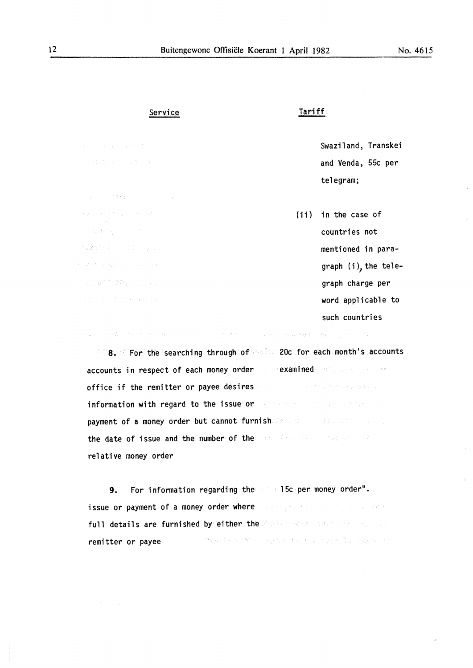$\mathbf{r}$ 

Service

经受产权 城市 医人名克尔利

2014年12期 同一年

### Tariff

Swaziland, Transkei and Venda, 55c per telegram;

(ii) in the case of countries not mentioned in paragraph (i), the telegraph charge per word applicable to such countries

8. For the searching through of 20c for each month's accounts accounts in respect of each money order a sexamined office if the remitter or payee desires (2) 中国 (2) 经国际管理 information with regard to the issue or the second second seconds of payment of a money order but cannot furnished and the second conthe date of issue and the number of the second constant second relative money order

。<br>"这么,我们想要,你们的人,我是<sup>1</sup>呀。" 我们的<sup>人们</sup>,不过,我们的人,我们的人,我们就是你的<del>我们的事</del>吧。 \$P\$ 你们的人,我

9. For information regarding the 15c per money order". issue or payment of a money order where a seeight successive property full details are furnished by either the steam conservative conservative and the condition of growths will indefine reserve. remitter or payee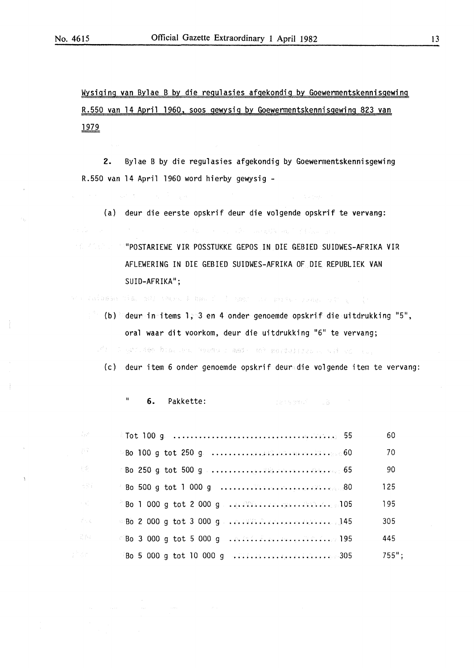$\mathcal{A}_{\alpha}$ 

Wvsiginq van Bylae B by die regulasies afgekondig by Goewermentskennisgewing R.550 van 14 April 1960, soos qewysiq by Goewermentskennisgewing 823 van <u>1979</u>

2. Bylae B by die regulasies afgekondig by Goewermentskennisgewing R.550 van 14 April 1960 word hierby gewysig -

(a) deur die eerste opskrif deur die vol9ende opskrif te vervan9:

 $\label{eq:2.1} \left\langle \phi_{\theta} \right\rangle^{\mu} = \left\langle \phi_{\theta} \right\rangle^{\mu} = \left\langle \phi_{\theta} \right\rangle^{\mu} = \left\langle \phi_{\theta} \right\rangle^{\mu} = \left\langle \phi_{\theta} \right\rangle^{\mu} = \left\langle \phi_{\theta} \right\rangle^{\mu}$ 

"POSTARIEWE VIR POSSTUKKE GEPOS IN DIE GEBIED SUIDWES-AFRIKA VIR AFLEWERING IN DIE GEBIED SUIDWES-AFRIKA OF DIE REPUBLIEK VAN SUID-AFRIKA";

an laibean dim, sel teur. A bho i c'hamel da parao dage a l'og c'h

 $\mathbb{R}^3$  (b) deur in items 1, 3 en 4 onder genoemde opskrif die uitdrukking "5", oral waar dit voorkom, deur die uitdrukking "6" te vervang;

ufi li yringe blas bus headu chael de' norlidiilos a d'uc tus

(c) deur item 6 onder 9enoemde opskrif deur die volgende item te vervang:

" 6. Pakkette:  $-1223533465 - 128 - 125$ 

| S.            |                                                     | 60       |
|---------------|-----------------------------------------------------|----------|
|               | $880$ 100 g tot 250 g $\ldots \ldots \ldots \ldots$ | 70       |
|               |                                                     | 90       |
| H.            |                                                     | 125      |
|               |                                                     | 195      |
| $\zeta^{\pm}$ |                                                     | 305      |
| ă.            | $\degree$ Bo 3 000 g tot 5 000 g .a. Ala. E. a. 195 | 445      |
|               |                                                     | $755$ "; |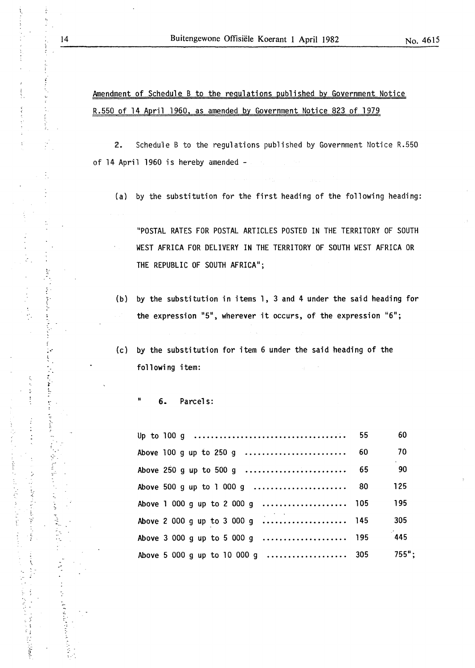# Amendment of Schedule B to the regulations published by Government Notice R.550 of 14 April 1960, as amended by Government Notice 823 of 1979

2. Schedule B to the regulations published by Government Notice R.550 of 14 April 1960 is hereby amended -

(a) by the substitution for the first heading of the following heading:

"POSTAL RATES FOR POSTAL ARTICLES POSTED IN THE TERRITORY OF SOUTH WEST AFRICA FOR DELIVERY IN THE TERRITORY OF SOUTH WEST AFRICA OR THE REPUBLIC OF SOUTH AFRICA";

- (b) by the substitution in items 1, 3 and 4 under the said heading for the expression "5", wherever it occurs, of the expression "6";
- (c) by the substitution for item 6 under the said heading of the following item:

" 6. Parcels:

|                                   | 60       |
|-----------------------------------|----------|
|                                   | 70       |
| Above 250 g up to 500 g  65       | 90       |
|                                   | 125      |
| Above 1 000 g up to 2 000 g  105  | 195      |
| Above 2 000 g up to 3 000 g  145  | 305      |
|                                   | 445      |
| Above 5 000 g up to 10 000 g  305 | $755"$ ; |

 $\ddot{\phantom{a}}$ 

Š,

Ĵ,  $\vdots$ 

 $\hat{V}$ 

 $\frac{1}{2}$ 

 $\begin{array}{c} 1 \\ 1 \\ 2 \end{array}$ 

..

ł.

 $\frac{1}{2}$  : والمستحقة

 $\mathbf{r}$ 

the address

 $\ddot{\phantom{0}}$ ţ.

.. ·

•!

ţ

'

~~

: -- )<br>1<br>)

ś

 $\ddot{\cdot}$  $\ddot{\cdot}$ 

 $\label{eq:2} \frac{1}{2} \int_{\mathbb{R}^3} \int_{\mathbb{R}^3} \left( \int_{\mathbb{R}^3} \int_{\mathbb{R}^3} \int_{\mathbb{R}^3} \int_{\mathbb{R}^3} \int_{\mathbb{R}^3} \int_{\mathbb{R}^3} \int_{\mathbb{R}^3} \int_{\mathbb{R}^3} \int_{\mathbb{R}^3} \int_{\mathbb{R}^3} \int_{\mathbb{R}^3} \int_{\mathbb{R}^3} \int_{\mathbb{R}^3} \int_{\mathbb{R}^3} \int_{\mathbb{R}^3$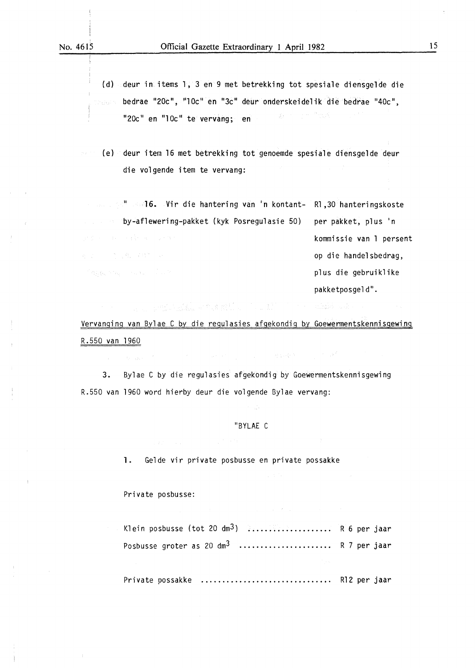{d) deur in items 1, 3 en 9 met betrekking tot spesia1e diensge1de die bedrae "20c", "10c" en "3c" deur onderskeide1ik die bedrae "40c",  $\label{eq:3.1} \mathbb{E}\left[\frac{1}{\Lambda}\right] \mathbb{E}\left[\mathbb{E}\left[\mathbb{E}\left[\mathbb{E}\left[\mathbb{E}\right]\right]\right]^{2} \right] \leq \mathbb{E}\left[\mathbb{E}\left[\mathbb{E}\left[\mathbb{E}\left[\mathbb{E}\right]\right]\right]\right]$ "20c" en "1 Oc" te vervang; en

{e) deur item 16 met betrekking tot genoemde spesia1e diensgelde deur die volgende item te vervang:

" 16. Vir die hantering van 'n kontant-Rl ,30 hanteringskoste by-aflewering-pakket {kyk Posregulasie 50) per pakket, plus 'n kommissie van 1 persent 在这一个人的人都是很好的是。 op die handelsbedrag,  $\mathbb{E}[\mathcal{O}_{\mathcal{H}}(\mathfrak{g}_{\mathcal{K}}) \geq \mathcal{O}_{\mathcal{H}_{\mathcal{H}}}]=\mathbb{E}[\mathcal{O}_{\mathcal{K}}(\mathfrak{g}_{\mathcal{K}})] = \mathbb{E}[\mathcal{O}_{\mathcal{K}}(\mathcal{K})]$ plus die gebruiklike pakketposgeld".

1999年,1999年,1999年,1999年,1999年,1999年,1999年,1999年,1999年,1999年,1999年,1999年,1999年,1999年,1999年,1999年,1999 animale a cha Vervanging van Bylae C by die regulasies afgekondig by Goewermentskennisqewing

R.550 van 1960

3. Bylae C by die regulasies afgekondig by Goewermentskennisgewing R.550 van 1960 word hierby deur die volgende Bylae vervang:

### "BYLAE C

1. Gelde vir private posbusse en private possakke

Private posbusse:

| Klein posbusse (tot 20 dm <sup>3</sup> ) $\ldots$ R 6 per jaar                                                      |  |
|---------------------------------------------------------------------------------------------------------------------|--|
| Posbusse groter as 20 $dm^3$ R 7 per jaar                                                                           |  |
| and the contract of the contract of the contract of the contract of the contract of the contract of the contract of |  |
| Private possakke  R12 per jaar                                                                                      |  |